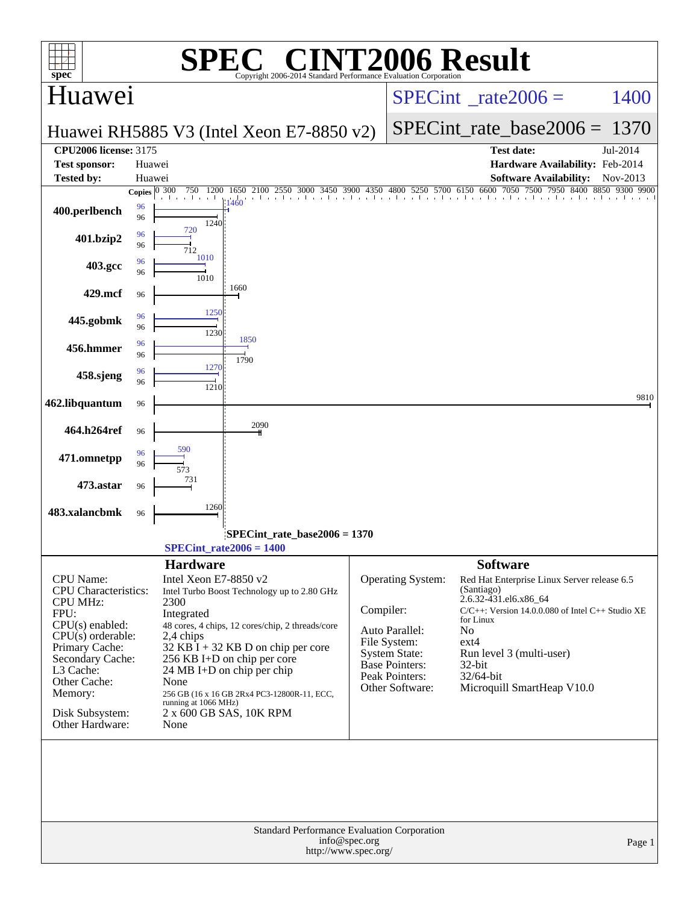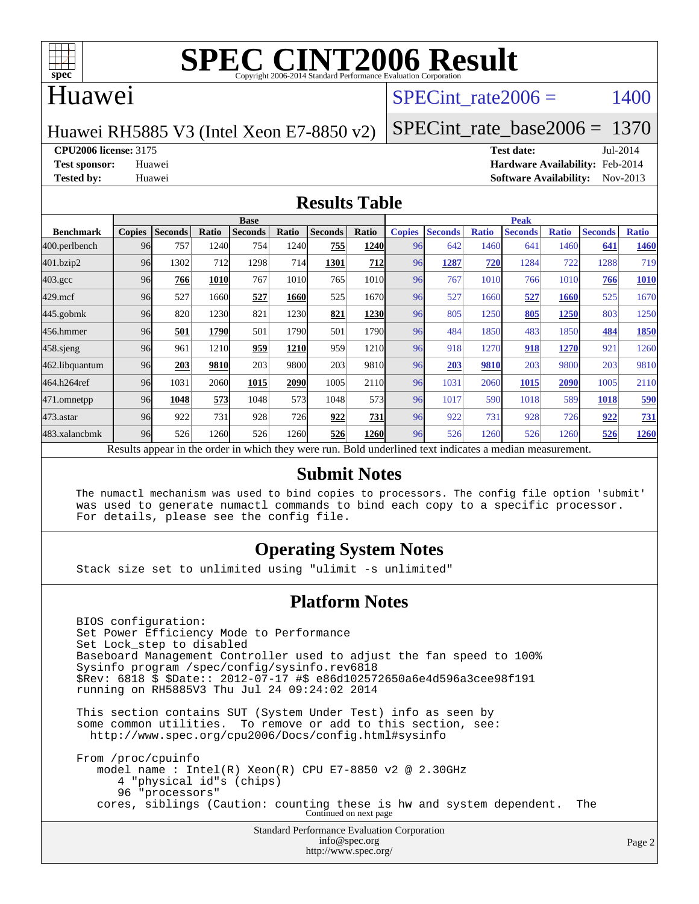

## Huawei

### SPECint rate $2006 = 1400$

#### Huawei RH5885 V3 (Intel Xeon E7-8850 v2)

[SPECint\\_rate\\_base2006 =](http://www.spec.org/auto/cpu2006/Docs/result-fields.html#SPECintratebase2006) 1370

**[CPU2006 license:](http://www.spec.org/auto/cpu2006/Docs/result-fields.html#CPU2006license)** 3175 **[Test date:](http://www.spec.org/auto/cpu2006/Docs/result-fields.html#Testdate)** Jul-2014

**[Test sponsor:](http://www.spec.org/auto/cpu2006/Docs/result-fields.html#Testsponsor)** Huawei **[Hardware Availability:](http://www.spec.org/auto/cpu2006/Docs/result-fields.html#HardwareAvailability)** Feb-2014 **[Tested by:](http://www.spec.org/auto/cpu2006/Docs/result-fields.html#Testedby)** Huawei **[Software Availability:](http://www.spec.org/auto/cpu2006/Docs/result-fields.html#SoftwareAvailability)** Nov-2013

#### **[Results Table](http://www.spec.org/auto/cpu2006/Docs/result-fields.html#ResultsTable)**

|                    |               |                |       | <b>Base</b>    |       |                                                                                                          |       |               |                |              | <b>Peak</b>    |              |                |              |
|--------------------|---------------|----------------|-------|----------------|-------|----------------------------------------------------------------------------------------------------------|-------|---------------|----------------|--------------|----------------|--------------|----------------|--------------|
| <b>Benchmark</b>   | <b>Copies</b> | <b>Seconds</b> | Ratio | <b>Seconds</b> | Ratio | <b>Seconds</b>                                                                                           | Ratio | <b>Copies</b> | <b>Seconds</b> | <b>Ratio</b> | <b>Seconds</b> | <b>Ratio</b> | <b>Seconds</b> | <b>Ratio</b> |
| 400.perlbench      | 96            | 757            | 1240  | 754            | 1240  | 755                                                                                                      | 1240  | 96            | 642            | 1460         | 641            | 1460         | 641            | 1460         |
| 401.bzip2          | 96            | 1302           | 712   | 1298           | 714   | 1301                                                                                                     | 712   | 96            | 1287           | 720          | 1284           | 722          | 1288           | 719          |
| $403.\mathrm{gcc}$ | 96            | 766            | 1010  | 767            | 1010  | 765                                                                                                      | 1010  | 96            | 767            | 1010         | 766            | 1010         | 766            | 1010         |
| $429$ .mcf         | 96            | 527            | 1660  | 527            | 1660  | 525                                                                                                      | 1670  | 96            | 527            | 1660         | 527            | 1660         | 525            | 1670         |
| $445$ .gobmk       | 96            | 820            | 1230  | 821            | 1230  | 821                                                                                                      | 1230  | 96            | 805            | 1250         | 805            | 1250         | 803            | 1250         |
| 456.hmmer          | 96            | 501            | 1790  | 501            | 1790  | 501                                                                                                      | 1790  | 96            | 484            | 1850         | 483            | 1850         | 484            | 1850         |
| $458$ .sjeng       | 96            | 961            | 1210  | 959            | 1210  | 959                                                                                                      | 1210  | 96            | 918            | 1270         | 918            | 1270         | 921            | 1260         |
| 462.libquantum     | 96            | 203            | 9810  | 203            | 9800  | 203                                                                                                      | 9810  | 96            | 203            | 9810         | 203            | 9800         | 203            | 9810         |
| 464.h264ref        | 96            | 1031           | 2060  | 1015           | 2090  | 1005                                                                                                     | 2110  | 96            | 1031           | 2060         | 1015           | 2090         | 1005           | 2110         |
| 471.omnetpp        | 96            | 1048           | 573   | 1048           | 573   | 1048                                                                                                     | 573   | 96            | 1017           | 590          | 1018           | 589          | 1018           | 590          |
| $473$ . astar      | 96            | 922            | 731   | 928            | 726   | 922                                                                                                      | 731   | 96            | 922            | 731          | 928            | 726          | 922            | 731          |
| 483.xalancbmk      | 96            | 526            | 1260  | 526            | 1260  | 526                                                                                                      | 1260  | 96            | 526            | 1260         | 526            | 1260         | 526            | 1260         |
|                    |               |                |       |                |       | Results appear in the order in which they were run. Bold underlined text indicates a median measurement. |       |               |                |              |                |              |                |              |

#### **[Submit Notes](http://www.spec.org/auto/cpu2006/Docs/result-fields.html#SubmitNotes)**

 The numactl mechanism was used to bind copies to processors. The config file option 'submit' was used to generate numactl commands to bind each copy to a specific processor. For details, please see the config file.

### **[Operating System Notes](http://www.spec.org/auto/cpu2006/Docs/result-fields.html#OperatingSystemNotes)**

Stack size set to unlimited using "ulimit -s unlimited"

#### **[Platform Notes](http://www.spec.org/auto/cpu2006/Docs/result-fields.html#PlatformNotes)**

 BIOS configuration: Set Power Efficiency Mode to Performance Set Lock\_step to disabled Baseboard Management Controller used to adjust the fan speed to 100% Sysinfo program /spec/config/sysinfo.rev6818 \$Rev: 6818 \$ \$Date:: 2012-07-17 #\$ e86d102572650a6e4d596a3cee98f191 running on RH5885V3 Thu Jul 24 09:24:02 2014

 This section contains SUT (System Under Test) info as seen by some common utilities. To remove or add to this section, see: <http://www.spec.org/cpu2006/Docs/config.html#sysinfo>

 From /proc/cpuinfo model name : Intel(R) Xeon(R) CPU E7-8850 v2 @ 2.30GHz 4 "physical id"s (chips) 96 "processors" cores, siblings (Caution: counting these is hw and system dependent. The Continued on next page

> Standard Performance Evaluation Corporation [info@spec.org](mailto:info@spec.org) <http://www.spec.org/>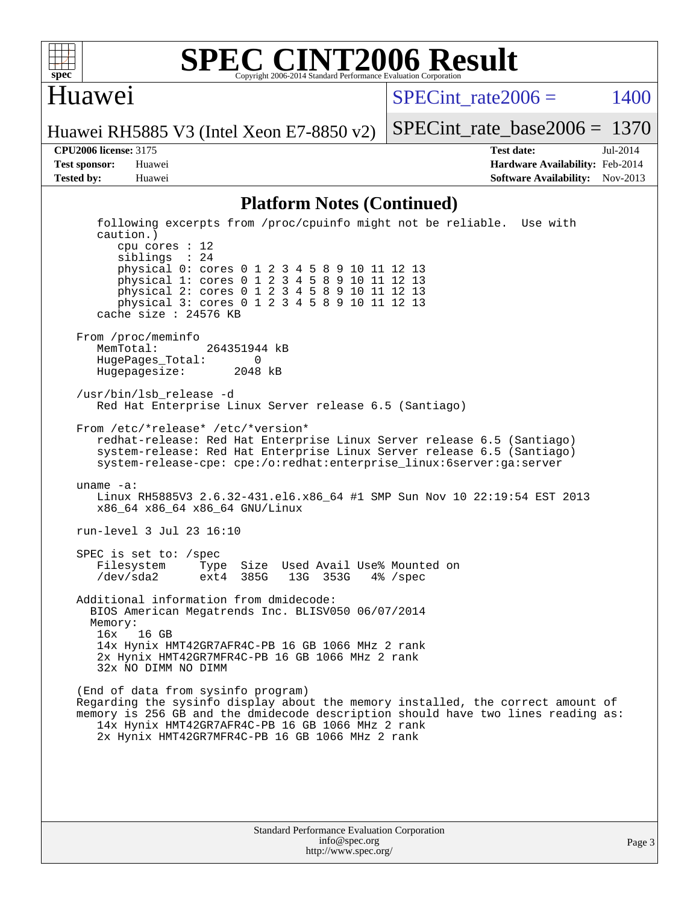

#### **[SPEC CINT2006 Result](http://www.spec.org/auto/cpu2006/Docs/result-fields.html#SPECCINT2006Result)** Copyright 2006-2014 Standard Performance Evaluation Corporation

### Huawei

SPECint rate $2006 = 1400$ 

Huawei RH5885 V3 (Intel Xeon E7-8850 v2)

**[Tested by:](http://www.spec.org/auto/cpu2006/Docs/result-fields.html#Testedby)** Huawei **[Software Availability:](http://www.spec.org/auto/cpu2006/Docs/result-fields.html#SoftwareAvailability)** Nov-2013

**[CPU2006 license:](http://www.spec.org/auto/cpu2006/Docs/result-fields.html#CPU2006license)** 3175 **[Test date:](http://www.spec.org/auto/cpu2006/Docs/result-fields.html#Testdate)** Jul-2014 **[Test sponsor:](http://www.spec.org/auto/cpu2006/Docs/result-fields.html#Testsponsor)** Huawei **[Hardware Availability:](http://www.spec.org/auto/cpu2006/Docs/result-fields.html#HardwareAvailability)** Feb-2014

[SPECint\\_rate\\_base2006 =](http://www.spec.org/auto/cpu2006/Docs/result-fields.html#SPECintratebase2006) 1370

#### **[Platform Notes \(Continued\)](http://www.spec.org/auto/cpu2006/Docs/result-fields.html#PlatformNotes)**

 following excerpts from /proc/cpuinfo might not be reliable. Use with caution.) cpu cores : 12 siblings : 24 physical 0: cores 0 1 2 3 4 5 8 9 10 11 12 13 physical 1: cores 0 1 2 3 4 5 8 9 10 11 12 13 physical 2: cores 0 1 2 3 4 5 8 9 10 11 12 13 physical 3: cores 0 1 2 3 4 5 8 9 10 11 12 13 cache size : 24576 KB From /proc/meminfo MemTotal: 264351944 kB HugePages\_Total: 0<br>Hugepagesize: 2048 kB Hugepagesize: /usr/bin/lsb\_release -d Red Hat Enterprise Linux Server release 6.5 (Santiago) From /etc/\*release\* /etc/\*version\* redhat-release: Red Hat Enterprise Linux Server release 6.5 (Santiago) system-release: Red Hat Enterprise Linux Server release 6.5 (Santiago) system-release-cpe: cpe:/o:redhat:enterprise\_linux:6server:ga:server uname -a: Linux RH5885V3 2.6.32-431.el6.x86\_64 #1 SMP Sun Nov 10 22:19:54 EST 2013 x86\_64 x86\_64 x86\_64 GNU/Linux run-level 3 Jul 23 16:10 SPEC is set to: /spec Filesystem Type Size Used Avail Use% Mounted on<br>
/dev/sda2 ext4 385G 13G 353G 4% /spec 13G 353G 4% /spec Additional information from dmidecode: BIOS American Megatrends Inc. BLISV050 06/07/2014 Memory: 16x 16 GB 14x Hynix HMT42GR7AFR4C-PB 16 GB 1066 MHz 2 rank 2x Hynix HMT42GR7MFR4C-PB 16 GB 1066 MHz 2 rank 32x NO DIMM NO DIMM (End of data from sysinfo program) Regarding the sysinfo display about the memory installed, the correct amount of memory is 256 GB and the dmidecode description should have two lines reading as: 14x Hynix HMT42GR7AFR4C-PB 16 GB 1066 MHz 2 rank 2x Hynix HMT42GR7MFR4C-PB 16 GB 1066 MHz 2 rank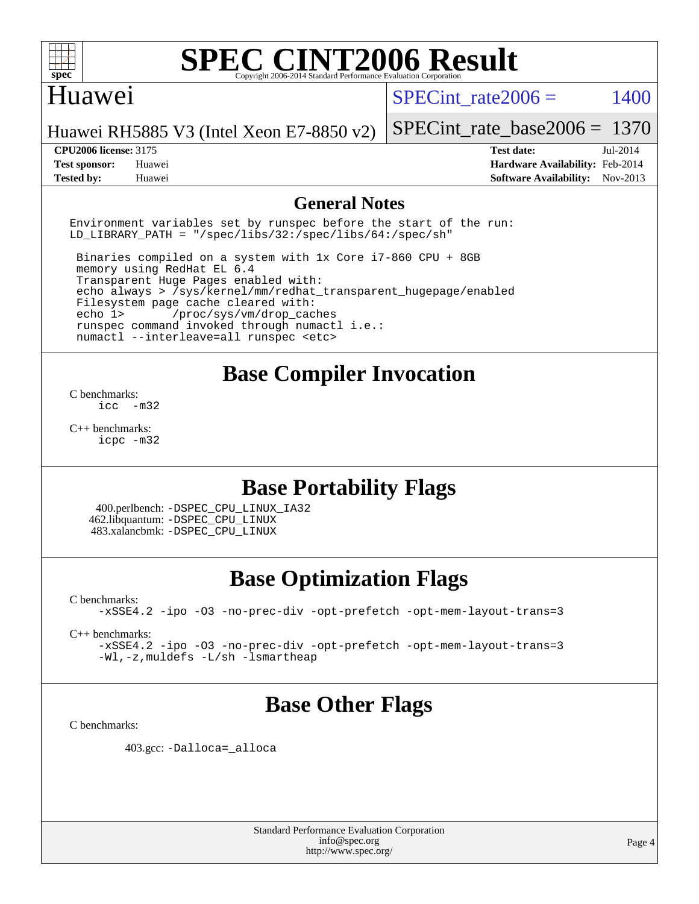

## Huawei

SPECint rate $2006 = 1400$ 

Huawei RH5885 V3 (Intel Xeon E7-8850 v2)

#### **[CPU2006 license:](http://www.spec.org/auto/cpu2006/Docs/result-fields.html#CPU2006license)** 3175 **[Test date:](http://www.spec.org/auto/cpu2006/Docs/result-fields.html#Testdate)** Jul-2014

[SPECint\\_rate\\_base2006 =](http://www.spec.org/auto/cpu2006/Docs/result-fields.html#SPECintratebase2006) 1370

**[Test sponsor:](http://www.spec.org/auto/cpu2006/Docs/result-fields.html#Testsponsor)** Huawei **[Hardware Availability:](http://www.spec.org/auto/cpu2006/Docs/result-fields.html#HardwareAvailability)** Feb-2014 **[Tested by:](http://www.spec.org/auto/cpu2006/Docs/result-fields.html#Testedby)** Huawei **[Software Availability:](http://www.spec.org/auto/cpu2006/Docs/result-fields.html#SoftwareAvailability)** Nov-2013

#### **[General Notes](http://www.spec.org/auto/cpu2006/Docs/result-fields.html#GeneralNotes)**

Environment variables set by runspec before the start of the run: LD LIBRARY PATH = "/spec/libs/32:/spec/libs/64:/spec/sh"

 Binaries compiled on a system with 1x Core i7-860 CPU + 8GB memory using RedHat EL 6.4 Transparent Huge Pages enabled with: echo always > /sys/kernel/mm/redhat\_transparent\_hugepage/enabled Filesystem page cache cleared with: echo 1> /proc/sys/vm/drop\_caches runspec command invoked through numactl i.e.: numactl --interleave=all runspec <etc>

# **[Base Compiler Invocation](http://www.spec.org/auto/cpu2006/Docs/result-fields.html#BaseCompilerInvocation)**

[C benchmarks](http://www.spec.org/auto/cpu2006/Docs/result-fields.html#Cbenchmarks):  $inc -m32$ 

[C++ benchmarks:](http://www.spec.org/auto/cpu2006/Docs/result-fields.html#CXXbenchmarks) [icpc -m32](http://www.spec.org/cpu2006/results/res2014q3/cpu2006-20140728-30644.flags.html#user_CXXbase_intel_icpc_4e5a5ef1a53fd332b3c49e69c3330699)

# **[Base Portability Flags](http://www.spec.org/auto/cpu2006/Docs/result-fields.html#BasePortabilityFlags)**

 400.perlbench: [-DSPEC\\_CPU\\_LINUX\\_IA32](http://www.spec.org/cpu2006/results/res2014q3/cpu2006-20140728-30644.flags.html#b400.perlbench_baseCPORTABILITY_DSPEC_CPU_LINUX_IA32) 462.libquantum: [-DSPEC\\_CPU\\_LINUX](http://www.spec.org/cpu2006/results/res2014q3/cpu2006-20140728-30644.flags.html#b462.libquantum_baseCPORTABILITY_DSPEC_CPU_LINUX) 483.xalancbmk: [-DSPEC\\_CPU\\_LINUX](http://www.spec.org/cpu2006/results/res2014q3/cpu2006-20140728-30644.flags.html#b483.xalancbmk_baseCXXPORTABILITY_DSPEC_CPU_LINUX)

# **[Base Optimization Flags](http://www.spec.org/auto/cpu2006/Docs/result-fields.html#BaseOptimizationFlags)**

[C benchmarks](http://www.spec.org/auto/cpu2006/Docs/result-fields.html#Cbenchmarks): [-xSSE4.2](http://www.spec.org/cpu2006/results/res2014q3/cpu2006-20140728-30644.flags.html#user_CCbase_f-xSSE42_f91528193cf0b216347adb8b939d4107) [-ipo](http://www.spec.org/cpu2006/results/res2014q3/cpu2006-20140728-30644.flags.html#user_CCbase_f-ipo) [-O3](http://www.spec.org/cpu2006/results/res2014q3/cpu2006-20140728-30644.flags.html#user_CCbase_f-O3) [-no-prec-div](http://www.spec.org/cpu2006/results/res2014q3/cpu2006-20140728-30644.flags.html#user_CCbase_f-no-prec-div) [-opt-prefetch](http://www.spec.org/cpu2006/results/res2014q3/cpu2006-20140728-30644.flags.html#user_CCbase_f-opt-prefetch) [-opt-mem-layout-trans=3](http://www.spec.org/cpu2006/results/res2014q3/cpu2006-20140728-30644.flags.html#user_CCbase_f-opt-mem-layout-trans_a7b82ad4bd7abf52556d4961a2ae94d5)

[C++ benchmarks:](http://www.spec.org/auto/cpu2006/Docs/result-fields.html#CXXbenchmarks)

[-xSSE4.2](http://www.spec.org/cpu2006/results/res2014q3/cpu2006-20140728-30644.flags.html#user_CXXbase_f-xSSE42_f91528193cf0b216347adb8b939d4107) [-ipo](http://www.spec.org/cpu2006/results/res2014q3/cpu2006-20140728-30644.flags.html#user_CXXbase_f-ipo) [-O3](http://www.spec.org/cpu2006/results/res2014q3/cpu2006-20140728-30644.flags.html#user_CXXbase_f-O3) [-no-prec-div](http://www.spec.org/cpu2006/results/res2014q3/cpu2006-20140728-30644.flags.html#user_CXXbase_f-no-prec-div) [-opt-prefetch](http://www.spec.org/cpu2006/results/res2014q3/cpu2006-20140728-30644.flags.html#user_CXXbase_f-opt-prefetch) [-opt-mem-layout-trans=3](http://www.spec.org/cpu2006/results/res2014q3/cpu2006-20140728-30644.flags.html#user_CXXbase_f-opt-mem-layout-trans_a7b82ad4bd7abf52556d4961a2ae94d5) [-Wl,-z,muldefs](http://www.spec.org/cpu2006/results/res2014q3/cpu2006-20140728-30644.flags.html#user_CXXbase_link_force_multiple1_74079c344b956b9658436fd1b6dd3a8a) [-L/sh -lsmartheap](http://www.spec.org/cpu2006/results/res2014q3/cpu2006-20140728-30644.flags.html#user_CXXbase_SmartHeap_32f6c82aa1ed9c52345d30cf6e4a0499)

# **[Base Other Flags](http://www.spec.org/auto/cpu2006/Docs/result-fields.html#BaseOtherFlags)**

[C benchmarks](http://www.spec.org/auto/cpu2006/Docs/result-fields.html#Cbenchmarks):

403.gcc: [-Dalloca=\\_alloca](http://www.spec.org/cpu2006/results/res2014q3/cpu2006-20140728-30644.flags.html#b403.gcc_baseEXTRA_CFLAGS_Dalloca_be3056838c12de2578596ca5467af7f3)

Standard Performance Evaluation Corporation [info@spec.org](mailto:info@spec.org) <http://www.spec.org/>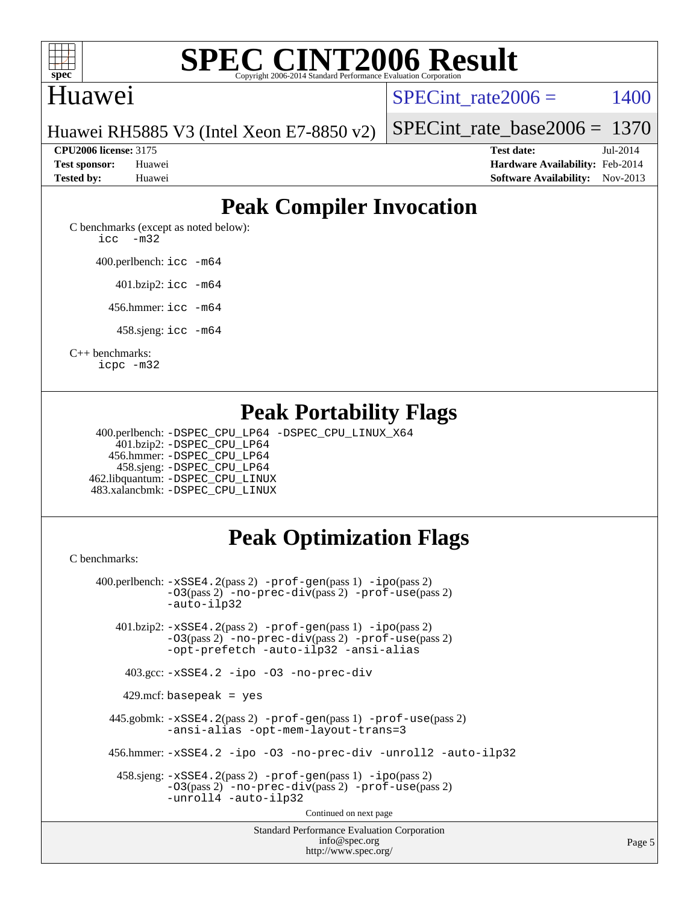

# Huawei

SPECint rate $2006 = 1400$ 

Page 5

Huawei RH5885 V3 (Intel Xeon E7-8850 v2)

**[CPU2006 license:](http://www.spec.org/auto/cpu2006/Docs/result-fields.html#CPU2006license)** 3175 **[Test date:](http://www.spec.org/auto/cpu2006/Docs/result-fields.html#Testdate)** Jul-2014

[SPECint\\_rate\\_base2006 =](http://www.spec.org/auto/cpu2006/Docs/result-fields.html#SPECintratebase2006) 1370

**[Test sponsor:](http://www.spec.org/auto/cpu2006/Docs/result-fields.html#Testsponsor)** Huawei **[Hardware Availability:](http://www.spec.org/auto/cpu2006/Docs/result-fields.html#HardwareAvailability)** Feb-2014 **[Tested by:](http://www.spec.org/auto/cpu2006/Docs/result-fields.html#Testedby)** Huawei **[Software Availability:](http://www.spec.org/auto/cpu2006/Docs/result-fields.html#SoftwareAvailability)** Nov-2013

# **[Peak Compiler Invocation](http://www.spec.org/auto/cpu2006/Docs/result-fields.html#PeakCompilerInvocation)**

[C benchmarks \(except as noted below\)](http://www.spec.org/auto/cpu2006/Docs/result-fields.html#Cbenchmarksexceptasnotedbelow): [icc -m32](http://www.spec.org/cpu2006/results/res2014q3/cpu2006-20140728-30644.flags.html#user_CCpeak_intel_icc_5ff4a39e364c98233615fdd38438c6f2)

400.perlbench: [icc -m64](http://www.spec.org/cpu2006/results/res2014q3/cpu2006-20140728-30644.flags.html#user_peakCCLD400_perlbench_intel_icc_64bit_bda6cc9af1fdbb0edc3795bac97ada53)

401.bzip2: [icc -m64](http://www.spec.org/cpu2006/results/res2014q3/cpu2006-20140728-30644.flags.html#user_peakCCLD401_bzip2_intel_icc_64bit_bda6cc9af1fdbb0edc3795bac97ada53)

456.hmmer: [icc -m64](http://www.spec.org/cpu2006/results/res2014q3/cpu2006-20140728-30644.flags.html#user_peakCCLD456_hmmer_intel_icc_64bit_bda6cc9af1fdbb0edc3795bac97ada53)

458.sjeng: [icc -m64](http://www.spec.org/cpu2006/results/res2014q3/cpu2006-20140728-30644.flags.html#user_peakCCLD458_sjeng_intel_icc_64bit_bda6cc9af1fdbb0edc3795bac97ada53)

[C++ benchmarks:](http://www.spec.org/auto/cpu2006/Docs/result-fields.html#CXXbenchmarks)

[icpc -m32](http://www.spec.org/cpu2006/results/res2014q3/cpu2006-20140728-30644.flags.html#user_CXXpeak_intel_icpc_4e5a5ef1a53fd332b3c49e69c3330699)

# **[Peak Portability Flags](http://www.spec.org/auto/cpu2006/Docs/result-fields.html#PeakPortabilityFlags)**

 400.perlbench: [-DSPEC\\_CPU\\_LP64](http://www.spec.org/cpu2006/results/res2014q3/cpu2006-20140728-30644.flags.html#b400.perlbench_peakCPORTABILITY_DSPEC_CPU_LP64) [-DSPEC\\_CPU\\_LINUX\\_X64](http://www.spec.org/cpu2006/results/res2014q3/cpu2006-20140728-30644.flags.html#b400.perlbench_peakCPORTABILITY_DSPEC_CPU_LINUX_X64) 401.bzip2: [-DSPEC\\_CPU\\_LP64](http://www.spec.org/cpu2006/results/res2014q3/cpu2006-20140728-30644.flags.html#suite_peakCPORTABILITY401_bzip2_DSPEC_CPU_LP64) 456.hmmer: [-DSPEC\\_CPU\\_LP64](http://www.spec.org/cpu2006/results/res2014q3/cpu2006-20140728-30644.flags.html#suite_peakCPORTABILITY456_hmmer_DSPEC_CPU_LP64) 458.sjeng: [-DSPEC\\_CPU\\_LP64](http://www.spec.org/cpu2006/results/res2014q3/cpu2006-20140728-30644.flags.html#suite_peakCPORTABILITY458_sjeng_DSPEC_CPU_LP64) 462.libquantum: [-DSPEC\\_CPU\\_LINUX](http://www.spec.org/cpu2006/results/res2014q3/cpu2006-20140728-30644.flags.html#b462.libquantum_peakCPORTABILITY_DSPEC_CPU_LINUX) 483.xalancbmk: [-DSPEC\\_CPU\\_LINUX](http://www.spec.org/cpu2006/results/res2014q3/cpu2006-20140728-30644.flags.html#b483.xalancbmk_peakCXXPORTABILITY_DSPEC_CPU_LINUX)

# **[Peak Optimization Flags](http://www.spec.org/auto/cpu2006/Docs/result-fields.html#PeakOptimizationFlags)**

<http://www.spec.org/>

[C benchmarks](http://www.spec.org/auto/cpu2006/Docs/result-fields.html#Cbenchmarks):

Standard Performance Evaluation Corporation [info@spec.org](mailto:info@spec.org) 400.perlbench: [-xSSE4.2](http://www.spec.org/cpu2006/results/res2014q3/cpu2006-20140728-30644.flags.html#user_peakPASS2_CFLAGSPASS2_LDCFLAGS400_perlbench_f-xSSE42_f91528193cf0b216347adb8b939d4107)(pass 2) [-prof-gen](http://www.spec.org/cpu2006/results/res2014q3/cpu2006-20140728-30644.flags.html#user_peakPASS1_CFLAGSPASS1_LDCFLAGS400_perlbench_prof_gen_e43856698f6ca7b7e442dfd80e94a8fc)(pass 1) [-ipo](http://www.spec.org/cpu2006/results/res2014q3/cpu2006-20140728-30644.flags.html#user_peakPASS2_CFLAGSPASS2_LDCFLAGS400_perlbench_f-ipo)(pass 2) [-O3](http://www.spec.org/cpu2006/results/res2014q3/cpu2006-20140728-30644.flags.html#user_peakPASS2_CFLAGSPASS2_LDCFLAGS400_perlbench_f-O3)(pass 2) [-no-prec-div](http://www.spec.org/cpu2006/results/res2014q3/cpu2006-20140728-30644.flags.html#user_peakPASS2_CFLAGSPASS2_LDCFLAGS400_perlbench_f-no-prec-div)(pass 2) [-prof-use](http://www.spec.org/cpu2006/results/res2014q3/cpu2006-20140728-30644.flags.html#user_peakPASS2_CFLAGSPASS2_LDCFLAGS400_perlbench_prof_use_bccf7792157ff70d64e32fe3e1250b55)(pass 2) [-auto-ilp32](http://www.spec.org/cpu2006/results/res2014q3/cpu2006-20140728-30644.flags.html#user_peakCOPTIMIZE400_perlbench_f-auto-ilp32) 401.bzip2: [-xSSE4.2](http://www.spec.org/cpu2006/results/res2014q3/cpu2006-20140728-30644.flags.html#user_peakPASS2_CFLAGSPASS2_LDCFLAGS401_bzip2_f-xSSE42_f91528193cf0b216347adb8b939d4107)(pass 2) [-prof-gen](http://www.spec.org/cpu2006/results/res2014q3/cpu2006-20140728-30644.flags.html#user_peakPASS1_CFLAGSPASS1_LDCFLAGS401_bzip2_prof_gen_e43856698f6ca7b7e442dfd80e94a8fc)(pass 1) [-ipo](http://www.spec.org/cpu2006/results/res2014q3/cpu2006-20140728-30644.flags.html#user_peakPASS2_CFLAGSPASS2_LDCFLAGS401_bzip2_f-ipo)(pass 2) [-O3](http://www.spec.org/cpu2006/results/res2014q3/cpu2006-20140728-30644.flags.html#user_peakPASS2_CFLAGSPASS2_LDCFLAGS401_bzip2_f-O3)(pass 2) [-no-prec-div](http://www.spec.org/cpu2006/results/res2014q3/cpu2006-20140728-30644.flags.html#user_peakPASS2_CFLAGSPASS2_LDCFLAGS401_bzip2_f-no-prec-div)(pass 2) [-prof-use](http://www.spec.org/cpu2006/results/res2014q3/cpu2006-20140728-30644.flags.html#user_peakPASS2_CFLAGSPASS2_LDCFLAGS401_bzip2_prof_use_bccf7792157ff70d64e32fe3e1250b55)(pass 2) [-opt-prefetch](http://www.spec.org/cpu2006/results/res2014q3/cpu2006-20140728-30644.flags.html#user_peakCOPTIMIZE401_bzip2_f-opt-prefetch) [-auto-ilp32](http://www.spec.org/cpu2006/results/res2014q3/cpu2006-20140728-30644.flags.html#user_peakCOPTIMIZE401_bzip2_f-auto-ilp32) [-ansi-alias](http://www.spec.org/cpu2006/results/res2014q3/cpu2006-20140728-30644.flags.html#user_peakCOPTIMIZE401_bzip2_f-ansi-alias) 403.gcc: [-xSSE4.2](http://www.spec.org/cpu2006/results/res2014q3/cpu2006-20140728-30644.flags.html#user_peakCOPTIMIZE403_gcc_f-xSSE42_f91528193cf0b216347adb8b939d4107) [-ipo](http://www.spec.org/cpu2006/results/res2014q3/cpu2006-20140728-30644.flags.html#user_peakCOPTIMIZE403_gcc_f-ipo) [-O3](http://www.spec.org/cpu2006/results/res2014q3/cpu2006-20140728-30644.flags.html#user_peakCOPTIMIZE403_gcc_f-O3) [-no-prec-div](http://www.spec.org/cpu2006/results/res2014q3/cpu2006-20140728-30644.flags.html#user_peakCOPTIMIZE403_gcc_f-no-prec-div) 429.mcf: basepeak = yes 445.gobmk: [-xSSE4.2](http://www.spec.org/cpu2006/results/res2014q3/cpu2006-20140728-30644.flags.html#user_peakPASS2_CFLAGSPASS2_LDCFLAGS445_gobmk_f-xSSE42_f91528193cf0b216347adb8b939d4107)(pass 2) [-prof-gen](http://www.spec.org/cpu2006/results/res2014q3/cpu2006-20140728-30644.flags.html#user_peakPASS1_CFLAGSPASS1_LDCFLAGS445_gobmk_prof_gen_e43856698f6ca7b7e442dfd80e94a8fc)(pass 1) [-prof-use](http://www.spec.org/cpu2006/results/res2014q3/cpu2006-20140728-30644.flags.html#user_peakPASS2_CFLAGSPASS2_LDCFLAGS445_gobmk_prof_use_bccf7792157ff70d64e32fe3e1250b55)(pass 2) [-ansi-alias](http://www.spec.org/cpu2006/results/res2014q3/cpu2006-20140728-30644.flags.html#user_peakCOPTIMIZE445_gobmk_f-ansi-alias) [-opt-mem-layout-trans=3](http://www.spec.org/cpu2006/results/res2014q3/cpu2006-20140728-30644.flags.html#user_peakCOPTIMIZE445_gobmk_f-opt-mem-layout-trans_a7b82ad4bd7abf52556d4961a2ae94d5) 456.hmmer: [-xSSE4.2](http://www.spec.org/cpu2006/results/res2014q3/cpu2006-20140728-30644.flags.html#user_peakCOPTIMIZE456_hmmer_f-xSSE42_f91528193cf0b216347adb8b939d4107) [-ipo](http://www.spec.org/cpu2006/results/res2014q3/cpu2006-20140728-30644.flags.html#user_peakCOPTIMIZE456_hmmer_f-ipo) [-O3](http://www.spec.org/cpu2006/results/res2014q3/cpu2006-20140728-30644.flags.html#user_peakCOPTIMIZE456_hmmer_f-O3) [-no-prec-div](http://www.spec.org/cpu2006/results/res2014q3/cpu2006-20140728-30644.flags.html#user_peakCOPTIMIZE456_hmmer_f-no-prec-div) [-unroll2](http://www.spec.org/cpu2006/results/res2014q3/cpu2006-20140728-30644.flags.html#user_peakCOPTIMIZE456_hmmer_f-unroll_784dae83bebfb236979b41d2422d7ec2) [-auto-ilp32](http://www.spec.org/cpu2006/results/res2014q3/cpu2006-20140728-30644.flags.html#user_peakCOPTIMIZE456_hmmer_f-auto-ilp32) 458.sjeng: [-xSSE4.2](http://www.spec.org/cpu2006/results/res2014q3/cpu2006-20140728-30644.flags.html#user_peakPASS2_CFLAGSPASS2_LDCFLAGS458_sjeng_f-xSSE42_f91528193cf0b216347adb8b939d4107)(pass 2) [-prof-gen](http://www.spec.org/cpu2006/results/res2014q3/cpu2006-20140728-30644.flags.html#user_peakPASS1_CFLAGSPASS1_LDCFLAGS458_sjeng_prof_gen_e43856698f6ca7b7e442dfd80e94a8fc)(pass 1) [-ipo](http://www.spec.org/cpu2006/results/res2014q3/cpu2006-20140728-30644.flags.html#user_peakPASS2_CFLAGSPASS2_LDCFLAGS458_sjeng_f-ipo)(pass 2) [-O3](http://www.spec.org/cpu2006/results/res2014q3/cpu2006-20140728-30644.flags.html#user_peakPASS2_CFLAGSPASS2_LDCFLAGS458_sjeng_f-O3)(pass 2) [-no-prec-div](http://www.spec.org/cpu2006/results/res2014q3/cpu2006-20140728-30644.flags.html#user_peakPASS2_CFLAGSPASS2_LDCFLAGS458_sjeng_f-no-prec-div)(pass 2) [-prof-use](http://www.spec.org/cpu2006/results/res2014q3/cpu2006-20140728-30644.flags.html#user_peakPASS2_CFLAGSPASS2_LDCFLAGS458_sjeng_prof_use_bccf7792157ff70d64e32fe3e1250b55)(pass 2) [-unroll4](http://www.spec.org/cpu2006/results/res2014q3/cpu2006-20140728-30644.flags.html#user_peakCOPTIMIZE458_sjeng_f-unroll_4e5e4ed65b7fd20bdcd365bec371b81f) [-auto-ilp32](http://www.spec.org/cpu2006/results/res2014q3/cpu2006-20140728-30644.flags.html#user_peakCOPTIMIZE458_sjeng_f-auto-ilp32) Continued on next page